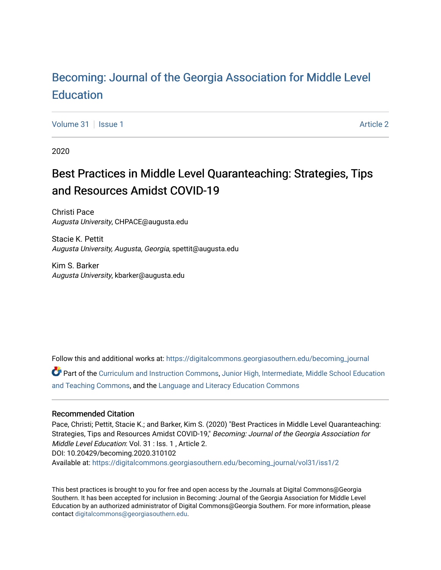# [Becoming: Journal of the Georgia Association for Middle Level](https://digitalcommons.georgiasouthern.edu/becoming_journal)  **Education**

[Volume 31](https://digitalcommons.georgiasouthern.edu/becoming_journal/vol31) | [Issue 1](https://digitalcommons.georgiasouthern.edu/becoming_journal/vol31/iss1) [Article 2](https://digitalcommons.georgiasouthern.edu/becoming_journal/vol31/iss1/2) | Article 2 | Article 2 | Article 2 | Article 2 | Article 2 | Article 2 | Article 2

2020

# Best Practices in Middle Level Quaranteaching: Strategies, Tips and Resources Amidst COVID-19

Christi Pace Augusta University, CHPACE@augusta.edu

Stacie K. Pettit Augusta University, Augusta, Georgia, spettit@augusta.edu

Kim S. Barker Augusta University, kbarker@augusta.edu

Follow this and additional works at: [https://digitalcommons.georgiasouthern.edu/becoming\\_journal](https://digitalcommons.georgiasouthern.edu/becoming_journal?utm_source=digitalcommons.georgiasouthern.edu%2Fbecoming_journal%2Fvol31%2Fiss1%2F2&utm_medium=PDF&utm_campaign=PDFCoverPages) 

Part of the [Curriculum and Instruction Commons,](http://network.bepress.com/hgg/discipline/786?utm_source=digitalcommons.georgiasouthern.edu%2Fbecoming_journal%2Fvol31%2Fiss1%2F2&utm_medium=PDF&utm_campaign=PDFCoverPages) [Junior High, Intermediate, Middle School Education](http://network.bepress.com/hgg/discipline/807?utm_source=digitalcommons.georgiasouthern.edu%2Fbecoming_journal%2Fvol31%2Fiss1%2F2&utm_medium=PDF&utm_campaign=PDFCoverPages)  [and Teaching Commons](http://network.bepress.com/hgg/discipline/807?utm_source=digitalcommons.georgiasouthern.edu%2Fbecoming_journal%2Fvol31%2Fiss1%2F2&utm_medium=PDF&utm_campaign=PDFCoverPages), and the [Language and Literacy Education Commons](http://network.bepress.com/hgg/discipline/1380?utm_source=digitalcommons.georgiasouthern.edu%2Fbecoming_journal%2Fvol31%2Fiss1%2F2&utm_medium=PDF&utm_campaign=PDFCoverPages) 

#### Recommended Citation

Pace, Christi; Pettit, Stacie K.; and Barker, Kim S. (2020) "Best Practices in Middle Level Quaranteaching: Strategies, Tips and Resources Amidst COVID-19," Becoming: Journal of the Georgia Association for Middle Level Education: Vol. 31 : Iss. 1 , Article 2. DOI: 10.20429/becoming.2020.310102 Available at: [https://digitalcommons.georgiasouthern.edu/becoming\\_journal/vol31/iss1/2](https://digitalcommons.georgiasouthern.edu/becoming_journal/vol31/iss1/2?utm_source=digitalcommons.georgiasouthern.edu%2Fbecoming_journal%2Fvol31%2Fiss1%2F2&utm_medium=PDF&utm_campaign=PDFCoverPages) 

This best practices is brought to you for free and open access by the Journals at Digital Commons@Georgia Southern. It has been accepted for inclusion in Becoming: Journal of the Georgia Association for Middle Level Education by an authorized administrator of Digital Commons@Georgia Southern. For more information, please contact [digitalcommons@georgiasouthern.edu](mailto:digitalcommons@georgiasouthern.edu).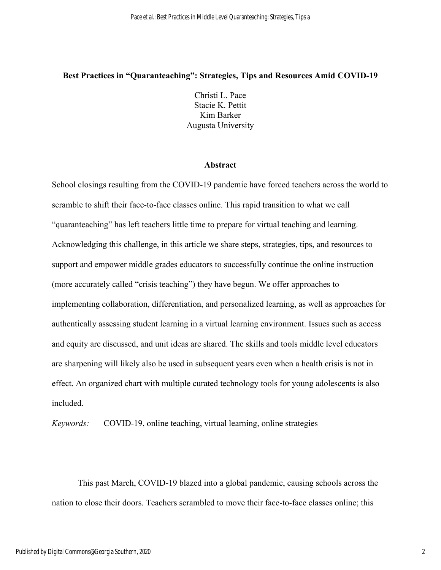## **Best Practices in "Quaranteaching": Strategies, Tips and Resources Amid COVID-19**

Christi L. Pace Stacie K. Pettit Kim Barker Augusta University

#### **Abstract**

School closings resulting from the COVID-19 pandemic have forced teachers across the world to scramble to shift their face-to-face classes online. This rapid transition to what we call "quaranteaching" has left teachers little time to prepare for virtual teaching and learning. Acknowledging this challenge, in this article we share steps, strategies, tips, and resources to support and empower middle grades educators to successfully continue the online instruction (more accurately called "crisis teaching") they have begun. We offer approaches to implementing collaboration, differentiation, and personalized learning, as well as approaches for authentically assessing student learning in a virtual learning environment. Issues such as access and equity are discussed, and unit ideas are shared. The skills and tools middle level educators are sharpening will likely also be used in subsequent years even when a health crisis is not in effect. An organized chart with multiple curated technology tools for young adolescents is also included.

*Keywords:* COVID-19, online teaching, virtual learning, online strategies

This past March, COVID-19 blazed into a global pandemic, causing schools across the nation to close their doors. Teachers scrambled to move their face-to-face classes online; this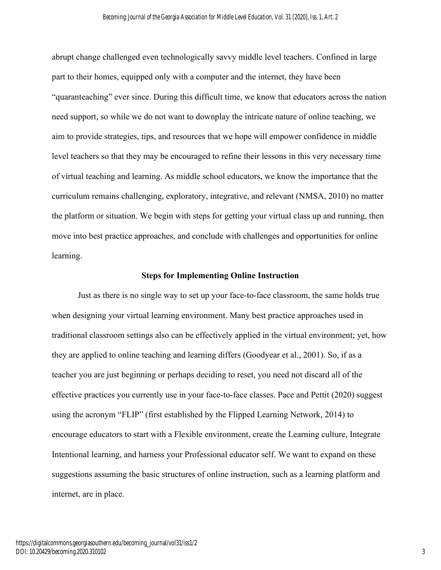abrupt change challenged even technologically savvy middle level teachers. Confined in large part to their homes, equipped only with a computer and the internet, they have been "quaranteaching" ever since. During this difficult time, we know that educators across the nation need support, so while we do not want to downplay the intricate nature of online teaching, we aim to provide strategies, tips, and resources that we hope will empower confidence in middle level teachers so that they may be encouraged to refine their lessons in this very necessary time of virtual teaching and learning. As middle school educators, we know the importance that the curriculum remains challenging, exploratory, integrative, and relevant (NMSA, 2010) no matter the platform or situation. We begin with steps for getting your virtual class up and running, then move into best practice approaches, and conclude with challenges and opportunities for online learning.

#### **Steps for Implementing Online Instruction**

 Just as there is no single way to set up your face-to-face classroom, the same holds true when designing your virtual learning environment. Many best practice approaches used in traditional classroom settings also can be effectively applied in the virtual environment; yet, how they are applied to online teaching and learning differs (Goodyear et al., 2001). So, if as a teacher you are just beginning or perhaps deciding to reset, you need not discard all of the effective practices you currently use in your face-to-face classes. Pace and Pettit (2020) suggest using the acronym "FLIP" (first established by the Flipped Learning Network, 2014) to encourage educators to start with a Flexible environment, create the Learning culture, Integrate Intentional learning, and harness your Professional educator self. We want to expand on these suggestions assuming the basic structures of online instruction, such as a learning platform and internet, are in place.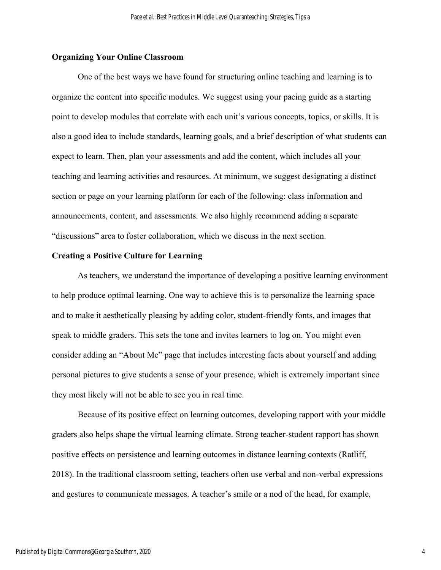#### **Organizing Your Online Classroom**

One of the best ways we have found for structuring online teaching and learning is to organize the content into specific modules. We suggest using your pacing guide as a starting point to develop modules that correlate with each unit's various concepts, topics, or skills. It is also a good idea to include standards, learning goals, and a brief description of what students can expect to learn. Then, plan your assessments and add the content, which includes all your teaching and learning activities and resources. At minimum, we suggest designating a distinct section or page on your learning platform for each of the following: class information and announcements, content, and assessments. We also highly recommend adding a separate "discussions" area to foster collaboration, which we discuss in the next section.

#### **Creating a Positive Culture for Learning**

 As teachers, we understand the importance of developing a positive learning environment to help produce optimal learning. One way to achieve this is to personalize the learning space and to make it aesthetically pleasing by adding color, student-friendly fonts, and images that speak to middle graders. This sets the tone and invites learners to log on. You might even consider adding an "About Me" page that includes interesting facts about yourself and adding personal pictures to give students a sense of your presence, which is extremely important since they most likely will not be able to see you in real time.

Because of its positive effect on learning outcomes, developing rapport with your middle graders also helps shape the virtual learning climate. Strong teacher-student rapport has shown positive effects on persistence and learning outcomes in distance learning contexts (Ratliff, 2018). In the traditional classroom setting, teachers often use verbal and non-verbal expressions and gestures to communicate messages. A teacher's smile or a nod of the head, for example,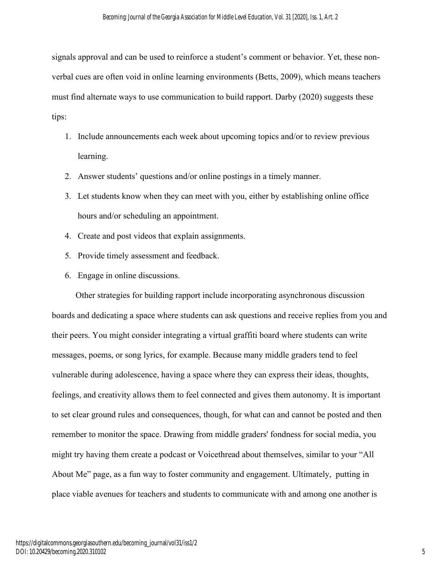signals approval and can be used to reinforce a student's comment or behavior. Yet, these nonverbal cues are often void in online learning environments (Betts, 2009), which means teachers must find alternate ways to use communication to build rapport. Darby (2020) suggests these tips:

- 1. Include announcements each week about upcoming topics and/or to review previous learning.
- 2. Answer students' questions and/or online postings in a timely manner.
- 3. Let students know when they can meet with you, either by establishing online office hours and/or scheduling an appointment.
- 4. Create and post videos that explain assignments.
- 5. Provide timely assessment and feedback.
- 6. Engage in online discussions.

 Other strategies for building rapport include incorporating asynchronous discussion boards and dedicating a space where students can ask questions and receive replies from you and their peers. You might consider integrating a virtual graffiti board where students can write messages, poems, or song lyrics, for example. Because many middle graders tend to feel vulnerable during adolescence, having a space where they can express their ideas, thoughts, feelings, and creativity allows them to feel connected and gives them autonomy. It is important to set clear ground rules and consequences, though, for what can and cannot be posted and then remember to monitor the space. Drawing from middle graders' fondness for social media, you might try having them create a podcast or Voicethread about themselves, similar to your "All About Me" page, as a fun way to foster community and engagement. Ultimately, putting in place viable avenues for teachers and students to communicate with and among one another is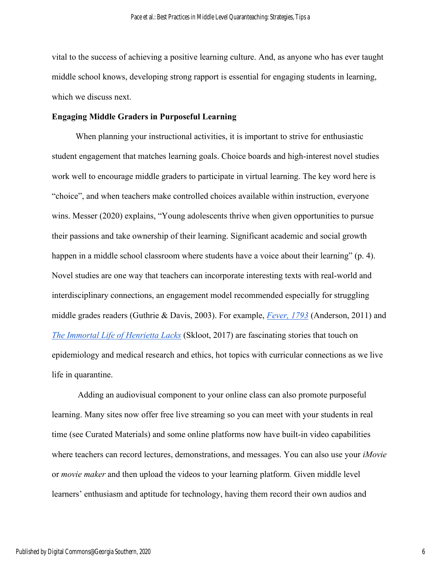vital to the success of achieving a positive learning culture. And, as anyone who has ever taught middle school knows, developing strong rapport is essential for engaging students in learning, which we discuss next.

#### **Engaging Middle Graders in Purposeful Learning**

 When planning your instructional activities, it is important to strive for enthusiastic student engagement that matches learning goals. Choice boards and high-interest novel studies work well to encourage middle graders to participate in virtual learning. The key word here is "choice", and when teachers make controlled choices available within instruction, everyone wins. Messer (2020) explains, "Young adolescents thrive when given opportunities to pursue their passions and take ownership of their learning. Significant academic and social growth happen in a middle school classroom where students have a voice about their learning" (p. 4). Novel studies are one way that teachers can incorporate interesting texts with real-world and interdisciplinary connections, an engagement model recommended especially for struggling middle grades readers (Guthrie & Davis, 2003). For example, *[Fever, 1793](about:blank)* (Anderson, 2011) and *[The Immortal Life of Henrietta Lacks](about:blank)* (Skloot, 2017) are fascinating stories that touch on epidemiology and medical research and ethics, hot topics with curricular connections as we live life in quarantine.

Adding an audiovisual component to your online class can also promote purposeful learning. Many sites now offer free live streaming so you can meet with your students in real time (see Curated Materials) and some online platforms now have built-in video capabilities where teachers can record lectures, demonstrations, and messages. You can also use your *iMovie* or *movie maker* and then upload the videos to your learning platform*.* Given middle level learners' enthusiasm and aptitude for technology, having them record their own audios and

6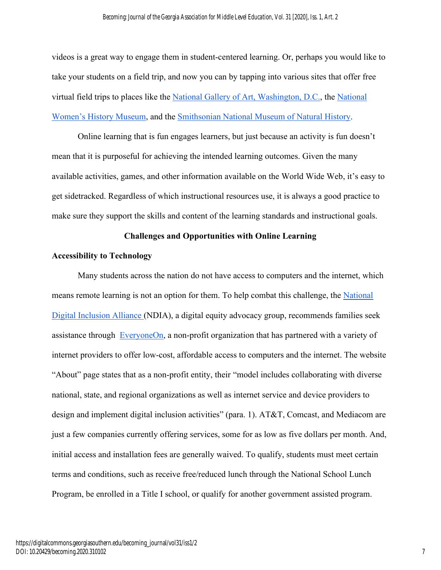videos is a great way to engage them in student-centered learning. Or, perhaps you would like to take your students on a field trip, and now you can by tapping into various sites that offer free virtual field trips to places like th[e](about:blank) [National Gallery of Art, Washington, D.C.,](about:blank) th[e](about:blank) [National](about:blank)  [Women's History Museum,](about:blank) and th[e](about:blank) [Smithsonian National Museum of Natural History.](about:blank)

Online learning that is fun engages learners, but just because an activity is fun doesn't mean that it is purposeful for achieving the intended learning outcomes. Given the many available activities, games, and other information available on the World Wide Web, it's easy to get sidetracked. Regardless of which instructional resources use, it is always a good practice to make sure they support the skills and content of the learning standards and instructional goals.

# **Challenges and Opportunities with Online Learning**

## **Accessibility to Technology**

Many students across the nation do not have access to computers and the internet, which means remote learning is not an option for them. To help combat this challenge, the [National](about:blank)  [Digital Inclusion Alliance \(](about:blank)NDIA), a digital equity advocacy group, recommends families seek assistance through [EveryoneOn,](about:blank) a non-profit organization that has partnered with a variety of internet providers to offer low-cost, affordable access to computers and the internet. The website "About" page states that as a non-profit entity, their "model includes collaborating with diverse national, state, and regional organizations as well as internet service and device providers to design and implement digital inclusion activities" (para. 1). AT&T, Comcast, and Mediacom are just a few companies currently offering services, some for as low as five dollars per month. And, initial access and installation fees are generally waived. To qualify, students must meet certain terms and conditions, such as receive free/reduced lunch through the National School Lunch Program, be enrolled in a Title I school, or qualify for another government assisted program.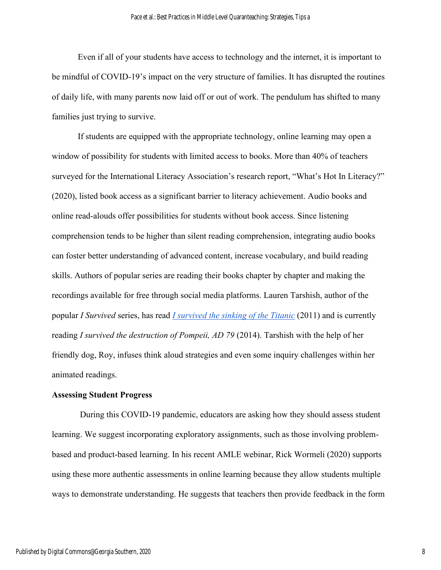Even if all of your students have access to technology and the internet, it is important to be mindful of COVID-19's impact on the very structure of families. It has disrupted the routines of daily life, with many parents now laid off or out of work. The pendulum has shifted to many families just trying to survive.

If students are equipped with the appropriate technology, online learning may open a window of possibility for students with limited access to books. More than 40% of teachers surveyed for the International Literacy Association's research report, "What's Hot In Literacy?" (2020), listed book access as a significant barrier to literacy achievement. Audio books and online read-alouds offer possibilities for students without book access. Since listening comprehension tends to be higher than silent reading comprehension, integrating audio books can foster better understanding of advanced content, increase vocabulary, and build reading skills. Authors of popular series are reading their books chapter by chapter and making the recordings available for free through social media platforms. Lauren Tarshish, author of the popular *I Survived* series, has read *[I survived the sinking of the Titanic](about:blank)* (2011) and is currently reading *I survived the destruction of Pompeii, AD 79* (2014). Tarshish with the help of her friendly dog, Roy, infuses think aloud strategies and even some inquiry challenges within her animated readings.

#### **Assessing Student Progress**

During this COVID-19 pandemic, educators are asking how they should assess student learning. We suggest incorporating exploratory assignments, such as those involving problembased and product-based learning. In his recent AMLE webinar, Rick Wormeli (2020) supports using these more authentic assessments in online learning because they allow students multiple ways to demonstrate understanding. He suggests that teachers then provide feedback in the form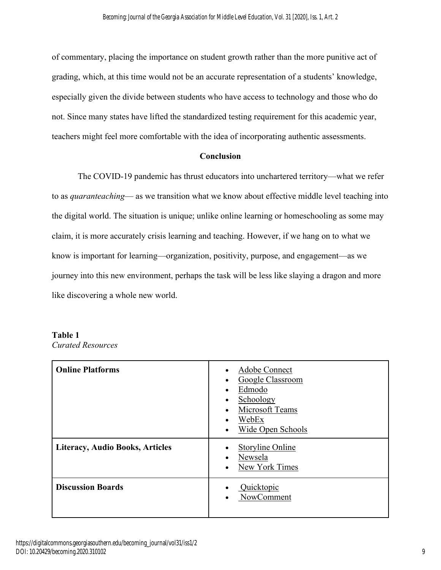of commentary, placing the importance on student growth rather than the more punitive act of grading, which, at this time would not be an accurate representation of a students' knowledge, especially given the divide between students who have access to technology and those who do not. Since many states have lifted the standardized testing requirement for this academic year, teachers might feel more comfortable with the idea of incorporating authentic assessments.

# **Conclusion**

The COVID-19 pandemic has thrust educators into unchartered territory—what we refer to as *quaranteaching*— as we transition what we know about effective middle level teaching into the digital world. The situation is unique; unlike online learning or homeschooling as some may claim, it is more accurately crisis learning and teaching. However, if we hang on to what we know is important for learning—organization, positivity, purpose, and engagement—as we journey into this new environment, perhaps the task will be less like slaying a dragon and more like discovering a whole new world.

## **Table 1** *Curated Resources*

| <b>Online Platforms</b>                | Adobe Connect<br>Google Classroom<br>Edmodo<br>$\bullet$<br>Schoology<br>$\bullet$<br>Microsoft Teams<br>$\bullet$<br>WebEx<br>$\bullet$<br>Wide Open Schools<br>$\bullet$ |
|----------------------------------------|----------------------------------------------------------------------------------------------------------------------------------------------------------------------------|
| <b>Literacy, Audio Books, Articles</b> | <b>Storyline Online</b><br>Newsela<br>$\bullet$<br>New York Times<br>$\bullet$                                                                                             |
| <b>Discussion Boards</b>               | Quicktopic<br>NowComment<br>$\bullet$                                                                                                                                      |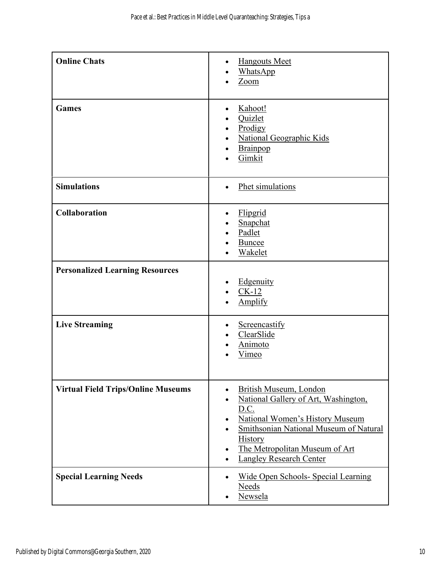| <b>Online Chats</b>                       | <b>Hangouts Meet</b><br>$\bullet$<br>WhatsApp<br>Zoom                                                                                                                                                                                                                                                            |
|-------------------------------------------|------------------------------------------------------------------------------------------------------------------------------------------------------------------------------------------------------------------------------------------------------------------------------------------------------------------|
| <b>Games</b>                              | Kahoot!<br>Quizlet<br>Prodigy<br><b>National Geographic Kids</b><br>$\bullet$<br><b>Brainpop</b><br>Gimkit                                                                                                                                                                                                       |
| <b>Simulations</b>                        | Phet simulations                                                                                                                                                                                                                                                                                                 |
| <b>Collaboration</b>                      | Flipgrid<br>Snapchat<br>Padlet<br><b>Buncee</b><br>Wakelet                                                                                                                                                                                                                                                       |
| <b>Personalized Learning Resources</b>    | Edgenuity<br>$CK-12$<br><b>Amplify</b>                                                                                                                                                                                                                                                                           |
| <b>Live Streaming</b>                     | Screencastify<br>ClearSlide<br>Animoto<br>Vimeo                                                                                                                                                                                                                                                                  |
| <b>Virtual Field Trips/Online Museums</b> | <b>British Museum, London</b><br>National Gallery of Art, Washington,<br>$\bullet$<br>D.C.<br><b>National Women's History Museum</b><br>٠<br>Smithsonian National Museum of Natural<br>$\bullet$<br><b>History</b><br>The Metropolitan Museum of Art<br>$\bullet$<br><b>Langley Research Center</b><br>$\bullet$ |
| <b>Special Learning Needs</b>             | <b>Wide Open Schools- Special Learning</b><br><b>Needs</b><br>Newsela                                                                                                                                                                                                                                            |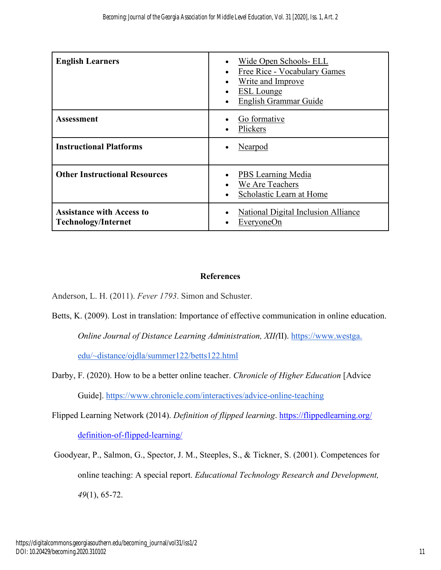| <b>English Learners</b>                                        | Wide Open Schools- ELL<br>Free Rice - Vocabulary Games<br>$\bullet$<br>Write and Improve<br>$\bullet$<br><b>ESL</b> Lounge<br>English Grammar Guide |
|----------------------------------------------------------------|-----------------------------------------------------------------------------------------------------------------------------------------------------|
| Assessment                                                     | Go formative<br>Plickers                                                                                                                            |
| <b>Instructional Platforms</b>                                 | Nearpod                                                                                                                                             |
| <b>Other Instructional Resources</b>                           | PBS Learning Media<br>We Are Teachers<br>Scholastic Learn at Home                                                                                   |
| <b>Assistance with Access to</b><br><b>Technology/Internet</b> | <b>National Digital Inclusion Alliance</b><br>EveryoneOn                                                                                            |

# **References**

Anderson, L. H. (2011). *Fever 1793*. Simon and Schuster.

- Betts, K. (2009). Lost in translation: Importance of effective communication in online education. *Online Journal of Distance Learning Administration, XII(*II). [https://www.westga.](about:blank) [edu/~distance/ojdla/summer122/betts122.html](about:blank)
- Darby, F. (2020). How to be a better online teacher. *Chronicle of Higher Education* [Advice Guide]. [https://www.chronicle.com/interactives/advice-online-teaching](about:blank)
- Flipped Learning Network (2014). *Definition of flipped learning*. [https://flippedlearning.org/](https://flippedlearning.org/%20definition-of-flipped-learning/)  [definition-of-flipped-learning/](https://flippedlearning.org/%20definition-of-flipped-learning/)
- Goodyear, P., Salmon, G., Spector, J. M., Steeples, S., & Tickner, S. (2001). Competences for online teaching: A special report. *Educational Technology Research and Development, 49*(1), 65-72.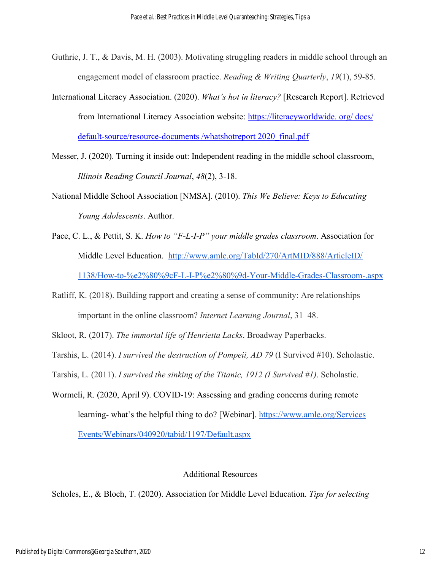- Guthrie, J. T., & Davis, M. H. (2003). Motivating struggling readers in middle school through an engagement model of classroom practice. *Reading & Writing Quarterly*, *19*(1), 59-85.
- International Literacy Association. (2020). *What's hot in literacy?* [Research Report]. Retrieved from International Literacy Association website: https://literacyworldwide. org/ docs/ default-source/resource-documents /whatshotreport 2020\_final.pdf
- Messer, J. (2020). Turning it inside out: Independent reading in the middle school classroom, *Illinois Reading Council Journal*, *48*(2), 3-18.
- National Middle School Association [NMSA]. (2010). *This We Believe: Keys to Educating Young Adolescents*. Author.
- Pace, C. L., & Pettit, S. K. *How to "F-L-I-P" your middle grades classroom*. Association for Middle Level Education. [http://www.amle.org/TabId/270/ArtMID/888/ArticleID/](about:blank) [1138/How-to-%e2%80%9cF-L-I-P%e2%80%9d-Your-Middle-Grades-Classroom-.aspx](about:blank)
- Ratliff, K. (2018). Building rapport and creating a sense of community: Are relationships important in the online classroom? *Internet Learning Journal*, 31–48.
- Skloot, R. (2017). *The immortal life of Henrietta Lacks*. Broadway Paperbacks.
- Tarshis, L. (2014). *I survived the destruction of Pompeii, AD 79* (I Survived #10). Scholastic.
- Tarshis, L. (2011). *I survived the sinking of the Titanic, 1912 (I Survived #1)*. Scholastic.
- Wormeli, R. (2020, April 9). COVID-19: Assessing and grading concerns during remote learning- what's the helpful thing to do? [Webinar][.](about:blank) https://www.amle.org/Services [Events/Webinars/040920/tabid/1197/Default.aspx](about:blank)

# Additional Resources

Scholes, E., & Bloch, T. (2020). Association for Middle Level Education. *Tips for selecting*